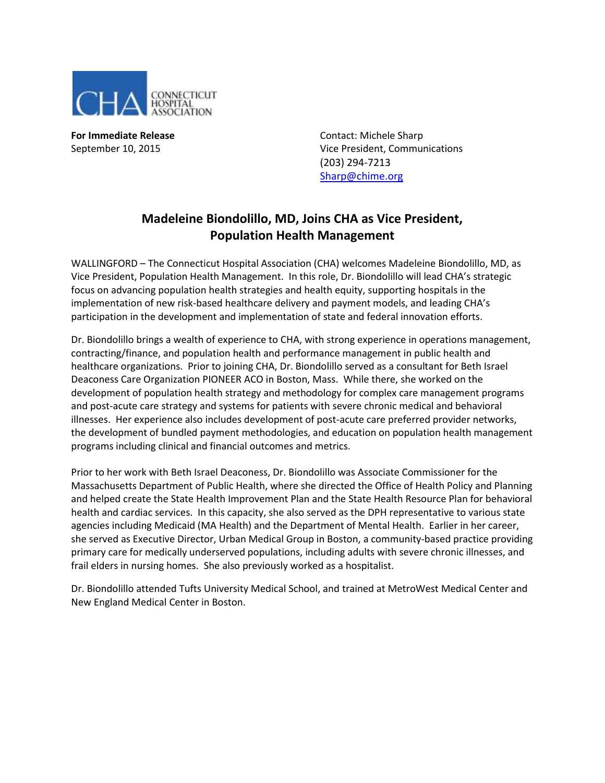

**For Immediate Release Contact: Michele Sharp** September 10, 2015 Vice President, Communications (203) 294-7213 [Sharp@chime.org](mailto:Sharp@chime.org)

## **Madeleine Biondolillo, MD, Joins CHA as Vice President, Population Health Management**

WALLINGFORD – The Connecticut Hospital Association (CHA) welcomes Madeleine Biondolillo, MD, as Vice President, Population Health Management. In this role, Dr. Biondolillo will lead CHA's strategic focus on advancing population health strategies and health equity, supporting hospitals in the implementation of new risk-based healthcare delivery and payment models, and leading CHA's participation in the development and implementation of state and federal innovation efforts.

Dr. Biondolillo brings a wealth of experience to CHA, with strong experience in operations management, contracting/finance, and population health and performance management in public health and healthcare organizations. Prior to joining CHA, Dr. Biondolillo served as a consultant for Beth Israel Deaconess Care Organization PIONEER ACO in Boston, Mass. While there, she worked on the development of population health strategy and methodology for complex care management programs and post-acute care strategy and systems for patients with severe chronic medical and behavioral illnesses. Her experience also includes development of post-acute care preferred provider networks, the development of bundled payment methodologies, and education on population health management programs including clinical and financial outcomes and metrics.

Prior to her work with Beth Israel Deaconess, Dr. Biondolillo was Associate Commissioner for the Massachusetts Department of Public Health, where she directed the Office of Health Policy and Planning and helped create the State Health Improvement Plan and the State Health Resource Plan for behavioral health and cardiac services. In this capacity, she also served as the DPH representative to various state agencies including Medicaid (MA Health) and the Department of Mental Health. Earlier in her career, she served as Executive Director, Urban Medical Group in Boston, a community-based practice providing primary care for medically underserved populations, including adults with severe chronic illnesses, and frail elders in nursing homes. She also previously worked as a hospitalist.

Dr. Biondolillo attended Tufts University Medical School, and trained at MetroWest Medical Center and New England Medical Center in Boston.